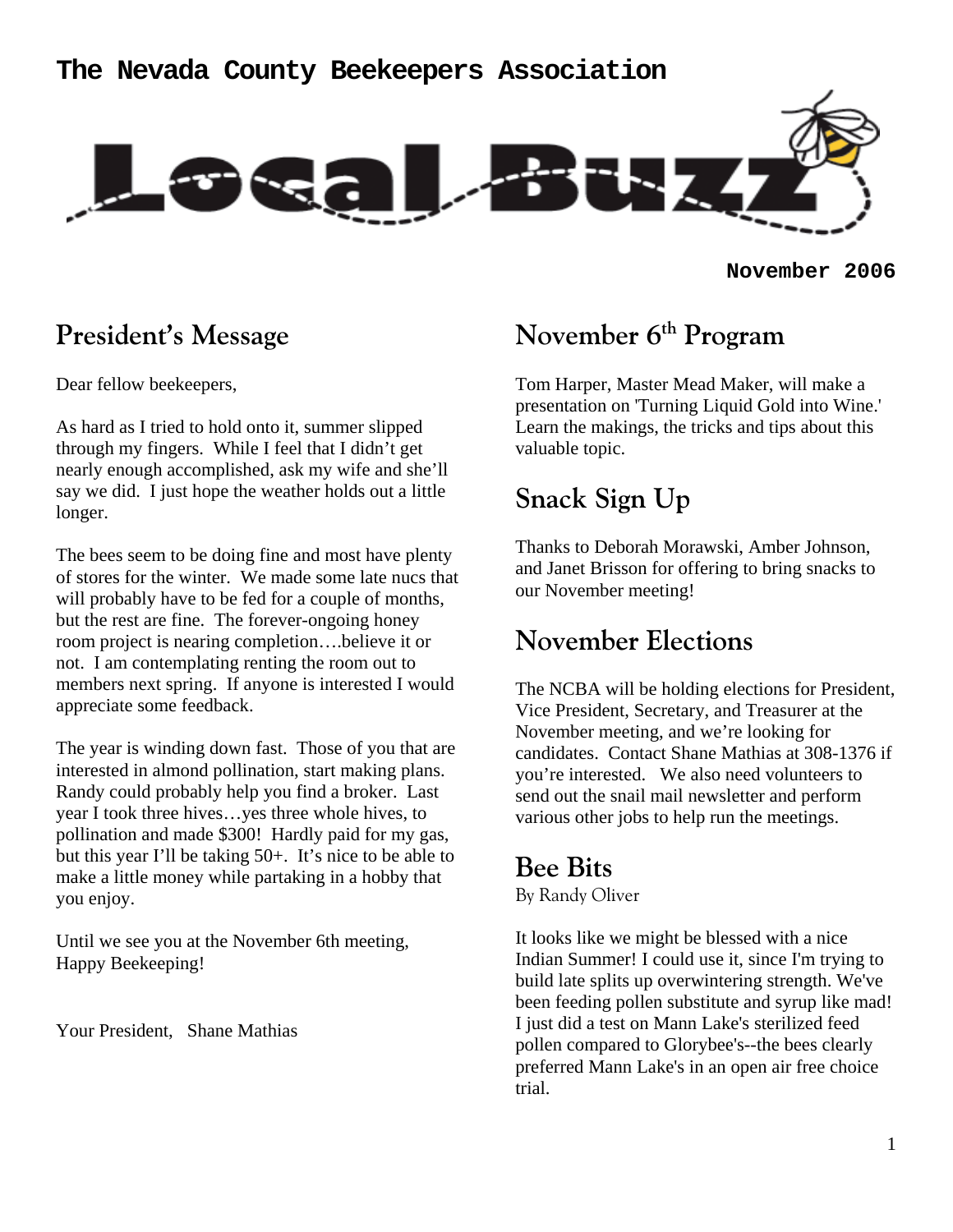### **The Nevada County Beekeepers Association**



**November 2006**

### **President's Message**

Dear fellow beekeepers,

As hard as I tried to hold onto it, summer slipped through my fingers. While I feel that I didn't get nearly enough accomplished, ask my wife and she'll say we did. I just hope the weather holds out a little longer.

The bees seem to be doing fine and most have plenty of stores for the winter. We made some late nucs that will probably have to be fed for a couple of months, but the rest are fine. The forever-ongoing honey room project is nearing completion….believe it or not. I am contemplating renting the room out to members next spring. If anyone is interested I would appreciate some feedback.

The year is winding down fast. Those of you that are interested in almond pollination, start making plans. Randy could probably help you find a broker. Last year I took three hives…yes three whole hives, to pollination and made \$300! Hardly paid for my gas, but this year I'll be taking 50+. It's nice to be able to make a little money while partaking in a hobby that you enjoy.

Until we see you at the November 6th meeting, Happy Beekeeping!

Your President, Shane Mathias

## **November 6th Program**

Tom Harper, Master Mead Maker, will make a presentation on 'Turning Liquid Gold into Wine.' Learn the makings, the tricks and tips about this valuable topic.

# **Snack Sign Up**

Thanks to Deborah Morawski, Amber Johnson, and Janet Brisson for offering to bring snacks to our November meeting!

## **November Elections**

The NCBA will be holding elections for President, Vice President, Secretary, and Treasurer at the November meeting, and we're looking for candidates. Contact Shane Mathias at 308-1376 if you're interested. We also need volunteers to send out the snail mail newsletter and perform various other jobs to help run the meetings.

## **Bee Bits**

By Randy Oliver

It looks like we might be blessed with a nice Indian Summer! I could use it, since I'm trying to build late splits up overwintering strength. We've been feeding pollen substitute and syrup like mad! I just did a test on Mann Lake's sterilized feed pollen compared to Glorybee's--the bees clearly preferred Mann Lake's in an open air free choice trial.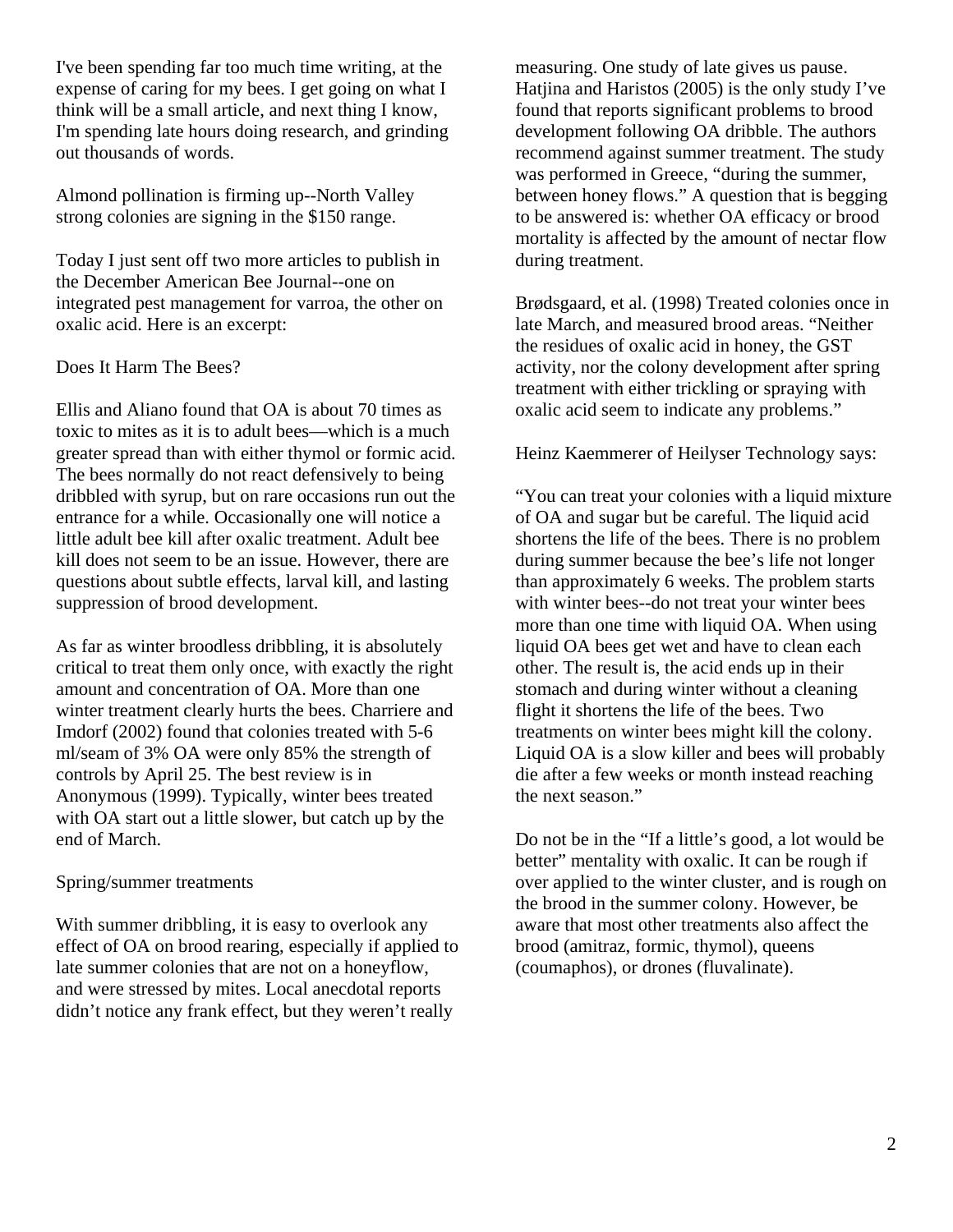I've been spending far too much time writing, at the expense of caring for my bees. I get going on what I think will be a small article, and next thing I know, I'm spending late hours doing research, and grinding out thousands of words.

Almond pollination is firming up--North Valley strong colonies are signing in the \$150 range.

Today I just sent off two more articles to publish in the December American Bee Journal--one on integrated pest management for varroa, the other on oxalic acid. Here is an excerpt:

#### Does It Harm The Bees?

Ellis and Aliano found that OA is about 70 times as toxic to mites as it is to adult bees—which is a much greater spread than with either thymol or formic acid. The bees normally do not react defensively to being dribbled with syrup, but on rare occasions run out the entrance for a while. Occasionally one will notice a little adult bee kill after oxalic treatment. Adult bee kill does not seem to be an issue. However, there are questions about subtle effects, larval kill, and lasting suppression of brood development.

As far as winter broodless dribbling, it is absolutely critical to treat them only once, with exactly the right amount and concentration of OA. More than one winter treatment clearly hurts the bees. Charriere and Imdorf (2002) found that colonies treated with 5-6 ml/seam of 3% OA were only 85% the strength of controls by April 25. The best review is in Anonymous (1999). Typically, winter bees treated with OA start out a little slower, but catch up by the end of March.

#### Spring/summer treatments

With summer dribbling, it is easy to overlook any effect of OA on brood rearing, especially if applied to late summer colonies that are not on a honeyflow, and were stressed by mites. Local anecdotal reports didn't notice any frank effect, but they weren't really

measuring. One study of late gives us pause. Hatjina and Haristos (2005) is the only study I've found that reports significant problems to brood development following OA dribble. The authors recommend against summer treatment. The study was performed in Greece, "during the summer, between honey flows." A question that is begging to be answered is: whether OA efficacy or brood mortality is affected by the amount of nectar flow during treatment.

Brødsgaard, et al. (1998) Treated colonies once in late March, and measured brood areas. "Neither the residues of oxalic acid in honey, the GST activity, nor the colony development after spring treatment with either trickling or spraying with oxalic acid seem to indicate any problems."

#### Heinz Kaemmerer of Heilyser Technology says:

"You can treat your colonies with a liquid mixture of OA and sugar but be careful. The liquid acid shortens the life of the bees. There is no problem during summer because the bee's life not longer than approximately 6 weeks. The problem starts with winter bees--do not treat your winter bees more than one time with liquid OA. When using liquid OA bees get wet and have to clean each other. The result is, the acid ends up in their stomach and during winter without a cleaning flight it shortens the life of the bees. Two treatments on winter bees might kill the colony. Liquid OA is a slow killer and bees will probably die after a few weeks or month instead reaching the next season."

Do not be in the "If a little's good, a lot would be better" mentality with oxalic. It can be rough if over applied to the winter cluster, and is rough on the brood in the summer colony. However, be aware that most other treatments also affect the brood (amitraz, formic, thymol), queens (coumaphos), or drones (fluvalinate).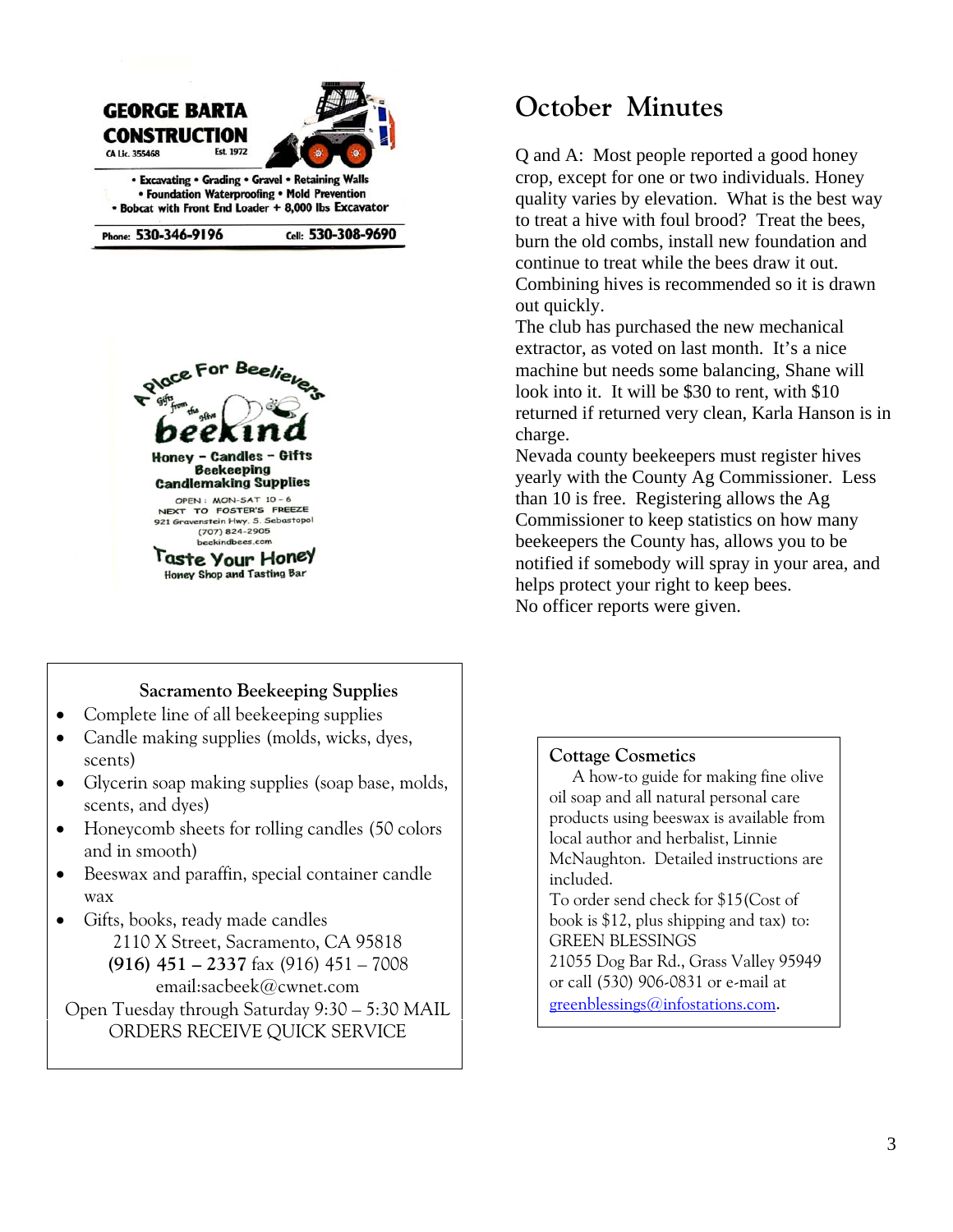

• Foundation Waterproofing • Mold Prevention · Bobcat with Front End Loader + 8,000 lbs Excavator

Phone: 530-346-9196

Cell: 530-308-9690



#### **Sacramento Beekeeping Supplies**

- Complete line of all beekeeping supplies
- Candle making supplies (molds, wicks, dyes, scents)
- Glycerin soap making supplies (soap base, molds, scents, and dyes)
- Honeycomb sheets for rolling candles (50 colors and in smooth)
- Beeswax and paraffin, special container candle wax
- Gifts, books, ready made candles 2110 X Street, Sacramento, CA 95818 **(916) 451 – 2337** fax (916) 451 – 7008 email:sacbeek@cwnet.com Open Tuesday through Saturday 9:30 – 5:30 MAIL

ORDERS RECEIVE QUICK SERVICE

## **October Minutes**

Q and A: Most people reported a good honey crop, except for one or two individuals. Honey quality varies by elevation. What is the best way to treat a hive with foul brood? Treat the bees, burn the old combs, install new foundation and continue to treat while the bees draw it out. Combining hives is recommended so it is drawn out quickly.

The club has purchased the new mechanical extractor, as voted on last month. It's a nice machine but needs some balancing, Shane will look into it. It will be \$30 to rent, with \$10 returned if returned very clean, Karla Hanson is in charge.

Nevada county beekeepers must register hives yearly with the County Ag Commissioner. Less than 10 is free. Registering allows the Ag Commissioner to keep statistics on how many beekeepers the County has, allows you to be notified if somebody will spray in your area, and helps protect your right to keep bees. No officer reports were given.

#### **Cottage Cosmetics**

A how-to guide for making fine olive oil soap and all natural personal care products using beeswax is available from local author and herbalist, Linnie McNaughton. Detailed instructions are included.

To order send check for \$15(Cost of book is \$12, plus shipping and tax) to: GREEN BLESSINGS 21055 Dog Bar Rd., Grass Valley 95949 or call (530) 906-0831 or e-mail at greenblessings@infostations.com.